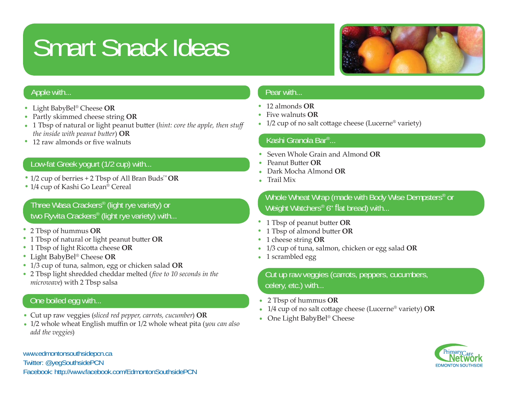# Smart Snack Ideas



#### Apple with...

- Light BabyBel ® Cheese **OR**•
- Partly skimmed cheese string **OR** •
- 1 Tbsp of natural or light peanut butter (*hint: core the apple, then stuff the inside with peanut bu tt er*) **OR**
- 12 raw almonds or five walnuts

## Low-fat Greek yogurt (1/2 cup) with...

- 1/2 cup of berries + 2 Tbsp of All Bran Buds™ **OR** •
- 1/4 cup of Kashi Go Lean® Cereal •

# Three Wasa Crackers® (light rye variety) or two Ryvita Crackers® (light rye variety) with...

- 2 Tbsp of hummus **OR** •
- 1 Tbsp of natural or light peanut butter **OR**
- 1 Tbsp of light Ricotta cheese OR
- Light BabyBel ® Cheese **OR**•
- 1/3 cup of tuna, salmon, egg or chicken salad **OR** •
- 2 Tbsp light shredded cheddar melted (*five to 10 seconds in the microwave*) with 2 Tbsp salsa

# One boiled egg with...

- Cut up raw veggies (*sliced red pepper, carrots, cucumber*) **OR** •
- 1/2 whole wheat English muffin or 1/2 whole wheat pita (*you can also add the veggies*)

#### www.edmontonsouthsidepcn.ca Twitter: @yegSouthsidePCN Facebook: http://www.facebook.com/EdmontonSouthsidePCN

#### Pear with...

- 12 almonds **OR**•
- Five walnuts **OR**•
- $1/2$  cup of no salt cottage cheese (Lucerne® variety)

#### Kashi Granola Bar®...

- Seven Whole Grain and Almond **OR**•
- Peanut Butter **OR** •
- Dark Mocha Almond **OR**•
- Trail Mix•

#### Whole Wheat Wrap (made with Body Wise Dempsters® or Weight Watchers® 6" flat bread) with...

- 1 Tbsp of peanut butter **OR** •
- 1 Tbsp of almond butter **OR** •
- 1 cheese string **OR** •
- 1/3 cup of tuna, salmon, chicken or egg salad **OR** •
- 1 scrambled egg

# Cut up raw veggies (carrots, peppers, cucumbers, celery, etc.) with...

- 2 Tbsp of hummus **OR** •
- 1/4 cup of no salt cottage cheese (Lucerne® variety) **OR** •
- One Light BabyBel® Cheese